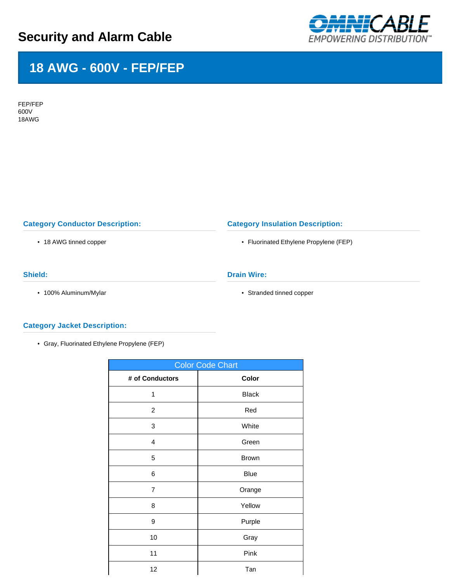# **Security and Alarm Cable**



## **18 AWG - 600V - FEP/FEP**

FEP/FEP 600V 18AWG

## **Category Conductor Description:**

• 18 AWG tinned copper

## **Category Insulation Description:**

• Fluorinated Ethylene Propylene (FEP)

### **Shield:**

• 100% Aluminum/Mylar

### **Drain Wire:**

• Stranded tinned copper

### **Category Jacket Description:**

• Gray, Fluorinated Ethylene Propylene (FEP)

| <b>Color Code Chart</b> |              |  |  |  |  |
|-------------------------|--------------|--|--|--|--|
| # of Conductors         | Color        |  |  |  |  |
| 1                       | <b>Black</b> |  |  |  |  |
| $\overline{c}$          | Red          |  |  |  |  |
| 3                       | White        |  |  |  |  |
| 4                       | Green        |  |  |  |  |
| 5                       | <b>Brown</b> |  |  |  |  |
| 6                       | <b>Blue</b>  |  |  |  |  |
| $\overline{7}$          | Orange       |  |  |  |  |
| 8                       | Yellow       |  |  |  |  |
| 9                       | Purple       |  |  |  |  |
| 10                      | Gray         |  |  |  |  |
| 11                      | Pink         |  |  |  |  |
| 12                      | Tan          |  |  |  |  |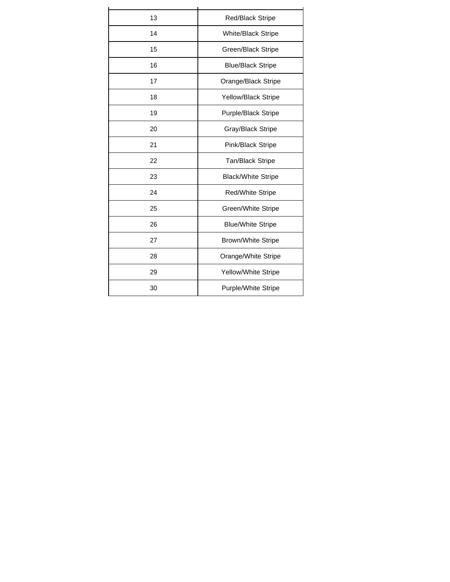| 13<br><b>Red/Black Stripe</b><br>14<br>White/Black Stripe<br>15<br>Green/Black Stripe<br>16<br><b>Blue/Black Stripe</b><br>17<br>Orange/Black Stripe<br>Yellow/Black Stripe<br>18<br>Purple/Black Stripe<br>19<br>20<br>Gray/Black Stripe<br>21<br>Pink/Black Stripe<br>22<br><b>Tan/Black Stripe</b><br>23<br><b>Black/White Stripe</b><br>24<br>Red/White Stripe<br>25<br>Green/White Stripe<br>26<br><b>Blue/White Stripe</b><br>27<br><b>Brown/White Stripe</b><br>28<br>Orange/White Stripe<br>Yellow/White Stripe<br>29<br>Purple/White Stripe<br>30 |  |  |  |  |
|------------------------------------------------------------------------------------------------------------------------------------------------------------------------------------------------------------------------------------------------------------------------------------------------------------------------------------------------------------------------------------------------------------------------------------------------------------------------------------------------------------------------------------------------------------|--|--|--|--|
|                                                                                                                                                                                                                                                                                                                                                                                                                                                                                                                                                            |  |  |  |  |
|                                                                                                                                                                                                                                                                                                                                                                                                                                                                                                                                                            |  |  |  |  |
|                                                                                                                                                                                                                                                                                                                                                                                                                                                                                                                                                            |  |  |  |  |
|                                                                                                                                                                                                                                                                                                                                                                                                                                                                                                                                                            |  |  |  |  |
|                                                                                                                                                                                                                                                                                                                                                                                                                                                                                                                                                            |  |  |  |  |
|                                                                                                                                                                                                                                                                                                                                                                                                                                                                                                                                                            |  |  |  |  |
|                                                                                                                                                                                                                                                                                                                                                                                                                                                                                                                                                            |  |  |  |  |
|                                                                                                                                                                                                                                                                                                                                                                                                                                                                                                                                                            |  |  |  |  |
|                                                                                                                                                                                                                                                                                                                                                                                                                                                                                                                                                            |  |  |  |  |
|                                                                                                                                                                                                                                                                                                                                                                                                                                                                                                                                                            |  |  |  |  |
|                                                                                                                                                                                                                                                                                                                                                                                                                                                                                                                                                            |  |  |  |  |
|                                                                                                                                                                                                                                                                                                                                                                                                                                                                                                                                                            |  |  |  |  |
|                                                                                                                                                                                                                                                                                                                                                                                                                                                                                                                                                            |  |  |  |  |
|                                                                                                                                                                                                                                                                                                                                                                                                                                                                                                                                                            |  |  |  |  |
|                                                                                                                                                                                                                                                                                                                                                                                                                                                                                                                                                            |  |  |  |  |
|                                                                                                                                                                                                                                                                                                                                                                                                                                                                                                                                                            |  |  |  |  |
|                                                                                                                                                                                                                                                                                                                                                                                                                                                                                                                                                            |  |  |  |  |
|                                                                                                                                                                                                                                                                                                                                                                                                                                                                                                                                                            |  |  |  |  |